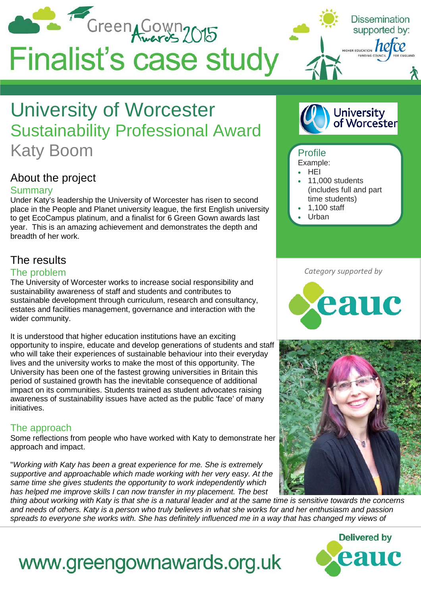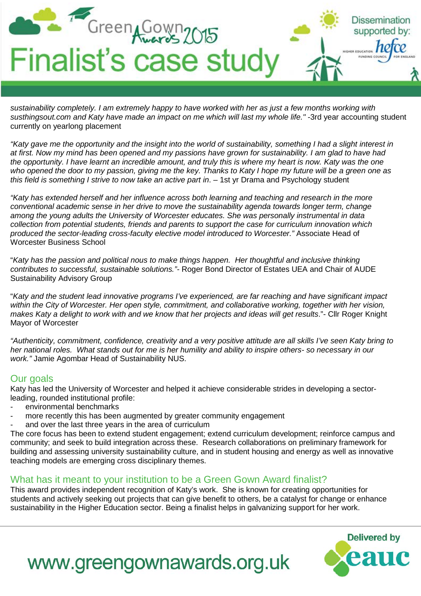

*sustainability completely. I am extremely happy to have worked with her as just a few months working with*  susthingsout.com and Katy have made an impact on me which will last my whole life." -3rd year accounting student currently on yearlong placement

*"Katy gave me the opportunity and the insight into the world of sustainability, something I had a slight interest in at first. Now my mind has been opened and my passions have grown for sustainability. I am glad to have had the opportunity. I have learnt an incredible amount, and truly this is where my heart is now. Katy was the one who opened the door to my passion, giving me the key. Thanks to Katy I hope my future will be a green one as this field is something I strive to now take an active part in*. – 1st yr Drama and Psychology student

*"Katy has extended herself and her influence across both learning and teaching and research in the more conventional academic sense in her drive to move the sustainability agenda towards longer term, change among the young adults the University of Worcester educates. She was personally instrumental in data collection from potential students, friends and parents to support the case for curriculum innovation which produced the sector-leading cross-faculty elective model introduced to Worcester."* Associate Head of Worcester Business School

"*Katy has the passion and political nous to make things happen. Her thoughtful and inclusive thinking contributes to successful, sustainable solutions."-* Roger Bond Director of Estates UEA and Chair of AUDE Sustainability Advisory Group

"*Katy and the student lead innovative programs I've experienced, are far reaching and have significant impact within the City of Worcester. Her open style, commitment, and collaborative working, together with her vision, makes Katy a delight to work with and we know that her projects and ideas will get results*."- Cllr Roger Knight Mayor of Worcester

*"Authenticity, commitment, confidence, creativity and a very positive attitude are all skills I've seen Katy bring to her national roles. What stands out for me is her humility and ability to inspire others- so necessary in our work."* Jamie Agombar Head of Sustainability NUS.

## Our goals

Katy has led the University of Worcester and helped it achieve considerable strides in developing a sectorleading, rounded institutional profile:

- environmental benchmarks
- more recently this has been augmented by greater community engagement
- and over the last three years in the area of curriculum

The core focus has been to extend student engagement; extend curriculum development; reinforce campus and community; and seek to build integration across these. Research collaborations on preliminary framework for building and assessing university sustainability culture, and in student housing and energy as well as innovative teaching models are emerging cross disciplinary themes.

## What has it meant to your institution to be a Green Gown Award finalist?

This award provides independent recognition of Katy's work. She is known for creating opportunities for students and actively seeking out projects that can give benefit to others, be a catalyst for change or enhance sustainability in the Higher Education sector. Being a finalist helps in galvanizing support for her work.



## www.greengownawards.org.uk